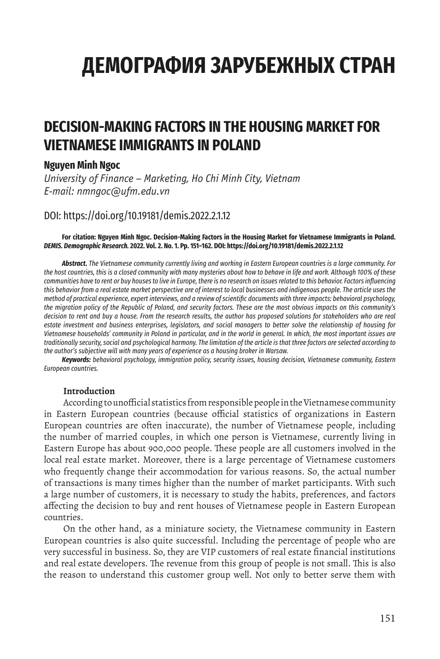# **ДЕМОГРАФИЯ ЗАРУБЕЖНЫХ СТРАН**

# **DECISION-MAKING FACTORS IN THE HOUSING MARKET FOR VIETNAMESE IMMIGRANTS IN POLAND**

### **Nguyen Minh Ngoc**

*University of Finance – Marketing, Ho Chi Minh City, Vietnam E-mail: nmngoc@ufm.edu.vn*

# DOI: https://doi.org/10.19181/demis.2022.2.1.12

#### **For citation: Nguyen Minh Ngoc. Decision-Making Factors in the Housing Market for Vietnamese Immigrants in Poland.**  *DEMIS. Demographic Research.* **2022. Vol. 2. No. 1. Pp. 151–162. DOI: https://doi.org/10.19181/demis.2022.2.1.12**

*Abstract. The Vietnamese community currently living and working in Eastern European countries is a large community. For the host countries, this is a closed community with many mysteries about how to behave in life and work. Although 100% of these communities have to rent or buy houses to live in Europe, there is no research on issues related to this behavior. Factors influencing this behavior from a real estate market perspective are of interest to local businesses and indigenous people. The article uses the method of practical experience, expert interviews, and a review of scientific documents with three impacts: behavioral psychology, the migration policy of the Republic of Poland, and security factors. These are the most obvious impacts on this community's decision to rent and buy a house. From the research results, the author has proposed solutions for stakeholders who are real estate investment and business enterprises, legislators, and social managers to better solve the relationship of housing for Vietnamese households' community in Poland in particular, and in the world in general. In which, the most important issues are traditionally security, social and psychological harmony. The limitation of the article is that three factors are selected according to the author's subjective will with many years of experience as a housing broker in Warsaw.*

*Keywords: behavioral psychology, immigration policy, security issues, housing decision, Vietnamese community, Eastern European countries.*

### **Introduction**

According to unofficial statistics from responsible people in the Vietnamese community in Eastern European countries (because official statistics of organizations in Eastern European countries are often inaccurate), the number of Vietnamese people, including the number of married couples, in which one person is Vietnamese, currently living in Eastern Europe has about 900,000 people. These people are all customers involved in the local real estate market. Moreover, there is a large percentage of Vietnamese customers who frequently change their accommodation for various reasons. So, the actual number of transactions is many times higher than the number of market participants. With such a large number of customers, it is necessary to study the habits, preferences, and factors affecting the decision to buy and rent houses of Vietnamese people in Eastern European countries.

On the other hand, as a miniature society, the Vietnamese community in Eastern European countries is also quite successful. Including the percentage of people who are very successful in business. So, they are VIP customers of real estate financial institutions and real estate developers. The revenue from this group of people is not small. This is also the reason to understand this customer group well. Not only to better serve them with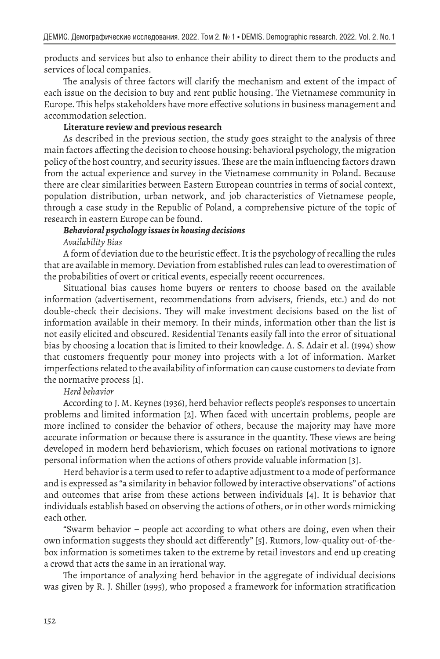products and services but also to enhance their ability to direct them to the products and services of local companies.

The analysis of three factors will clarify the mechanism and extent of the impact of each issue on the decision to buy and rent public housing. The Vietnamese community in Europe. This helps stakeholders have more effective solutions in business management and accommodation selection.

#### **Literature review and previous research**

As described in the previous section, the study goes straight to the analysis of three main factors affecting the decision to choose housing: behavioral psychology, the migration policy of the host country, and security issues. These are the main influencing factors drawn from the actual experience and survey in the Vietnamese community in Poland. Because there are clear similarities between Eastern European countries in terms of social context, population distribution, urban network, and job characteristics of Vietnamese people, through a case study in the Republic of Poland, a comprehensive picture of the topic of research in eastern Europe can be found.

#### *Behavioral psychology issues in housing decisions Availability Bias*

A form of deviation due to the heuristic effect. It is the psychology of recalling the rules that are available in memory. Deviation from established rules can lead to overestimation of the probabilities of overt or critical events, especially recent occurrences.

Situational bias causes home buyers or renters to choose based on the available information (advertisement, recommendations from advisers, friends, etc.) and do not double-check their decisions. They will make investment decisions based on the list of information available in their memory. In their minds, information other than the list is not easily elicited and obscured. Residential Tenants easily fall into the error of situational bias by choosing a location that is limited to their knowledge. A. S. Adair et al. (1994) show that customers frequently pour money into projects with a lot of information. Market imperfections related to the availability of information can cause customers to deviate from the normative process [1].

#### *Herd behavior*

According to J. M. Keynes (1936), herd behavior reflects people's responses to uncertain problems and limited information [2]. When faced with uncertain problems, people are more inclined to consider the behavior of others, because the majority may have more accurate information or because there is assurance in the quantity. These views are being developed in modern herd behaviorism, which focuses on rational motivations to ignore personal information when the actions of others provide valuable information [3].

Herd behavior is a term used to refer to adaptive adjustment to a mode of performance and is expressed as "a similarity in behavior followed by interactive observations" of actions and outcomes that arise from these actions between individuals [4]. It is behavior that individuals establish based on observing the actions of others, or in other words mimicking each other.

"Swarm behavior – people act according to what others are doing, even when their own information suggests they should act differently" [5]. Rumors, low-quality out-of-thebox information is sometimes taken to the extreme by retail investors and end up creating a crowd that acts the same in an irrational way.

The importance of analyzing herd behavior in the aggregate of individual decisions was given by R. J. Shiller (1995), who proposed a framework for information stratification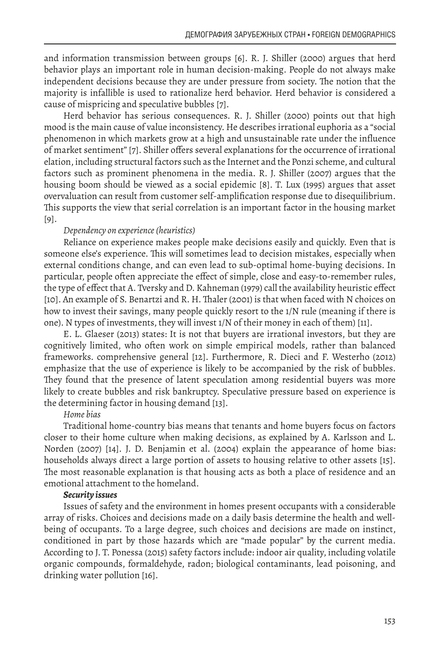and information transmission between groups [6]. R. J. Shiller (2000) argues that herd behavior plays an important role in human decision-making. People do not always make independent decisions because they are under pressure from society. The notion that the majority is infallible is used to rationalize herd behavior. Herd behavior is considered a cause of mispricing and speculative bubbles [7].

Herd behavior has serious consequences. R. J. Shiller (2000) points out that high mood is the main cause of value inconsistency. He describes irrational euphoria as a "social phenomenon in which markets grow at a high and unsustainable rate under the influence of market sentiment" [7]. Shiller offers several explanations for the occurrence of irrational elation, including structural factors such as the Internet and the Ponzi scheme, and cultural factors such as prominent phenomena in the media. R. J. Shiller (2007) argues that the housing boom should be viewed as a social epidemic [8]. T. Lux (1995) argues that asset overvaluation can result from customer self-amplification response due to disequilibrium. This supports the view that serial correlation is an important factor in the housing market [9].

#### *Dependency on experience (heuristics)*

Reliance on experience makes people make decisions easily and quickly. Even that is someone else's experience. This will sometimes lead to decision mistakes, especially when external conditions change, and can even lead to sub-optimal home-buying decisions. In particular, people often appreciate the effect of simple, close and easy-to-remember rules, the type of effect that A. Tversky and D. Kahneman (1979) call the availability heuristic effect [10]. An example of S. Benartzi and R. H. Thaler (2001) is that when faced with N choices on how to invest their savings, many people quickly resort to the 1/N rule (meaning if there is one). N types of investments, they will invest 1/N of their money in each of them) [11].

E. L. Glaeser (2013) states: It is not that buyers are irrational investors, but they are cognitively limited, who often work on simple empirical models, rather than balanced frameworks. comprehensive general [12]. Furthermore, R. Dieci and F. Westerho (2012) emphasize that the use of experience is likely to be accompanied by the risk of bubbles. They found that the presence of latent speculation among residential buyers was more likely to create bubbles and risk bankruptcy. Speculative pressure based on experience is the determining factor in housing demand [13].

#### *Home bias*

Traditional home-country bias means that tenants and home buyers focus on factors closer to their home culture when making decisions, as explained by A. Karlsson and L. Norden (2007) [14]. J. D. Benjamin et al. (2004) explain the appearance of home bias: households always direct a large portion of assets to housing relative to other assets [15]. The most reasonable explanation is that housing acts as both a place of residence and an emotional attachment to the homeland.

#### *Security issues*

Issues of safety and the environment in homes present occupants with a considerable array of risks. Choices and decisions made on a daily basis determine the health and wellbeing of occupants. To a large degree, such choices and decisions are made on instinct, conditioned in part by those hazards which are "made popular" by the current media. According to J. T. Ponessa (2015) safety factors include: indoor air quality, including volatile organic compounds, formaldehyde, radon; biological contaminants, lead poisoning, and drinking water pollution [16].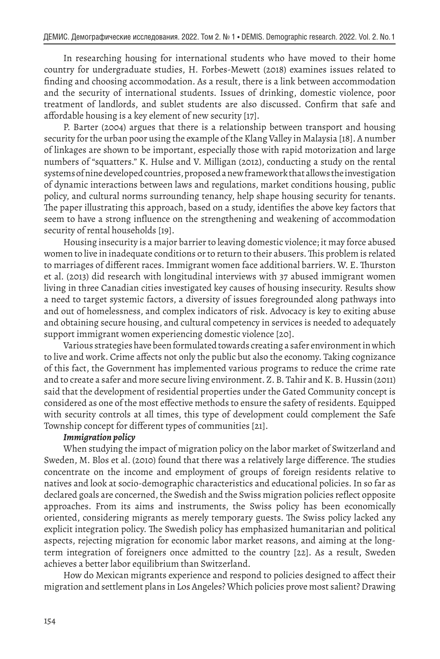In researching housing for international students who have moved to their home country for undergraduate studies, H. Forbes-Mewett (2018) examines issues related to finding and choosing accommodation. As a result, there is a link between accommodation and the security of international students. Issues of drinking, domestic violence, poor treatment of landlords, and sublet students are also discussed. Confirm that safe and affordable housing is a key element of new security [17].

P. Barter (2004) argues that there is a relationship between transport and housing security for the urban poor using the example of the Klang Valley in Malaysia [18]. A number of linkages are shown to be important, especially those with rapid motorization and large numbers of "squatters." K. Hulse and V. Milligan (2012), conducting a study on the rental systems of nine developed countries, proposed a new framework that allows the investigation of dynamic interactions between laws and regulations, market conditions housing, public policy, and cultural norms surrounding tenancy, help shape housing security for tenants. The paper illustrating this approach, based on a study, identifies the above key factors that seem to have a strong influence on the strengthening and weakening of accommodation security of rental households [19].

Housing insecurity is a major barrier to leaving domestic violence; it may force abused women to live in inadequate conditions or to return to their abusers. This problem is related to marriages of different races. Immigrant women face additional barriers. W. E. Thurston et al. (2013) did research with longitudinal interviews with 37 abused immigrant women living in three Canadian cities investigated key causes of housing insecurity. Results show a need to target systemic factors, a diversity of issues foregrounded along pathways into and out of homelessness, and complex indicators of risk. Advocacy is key to exiting abuse and obtaining secure housing, and cultural competency in services is needed to adequately support immigrant women experiencing domestic violence [20].

Various strategies have been formulated towards creating a safer environment in which to live and work. Crime affects not only the public but also the economy. Taking cognizance of this fact, the Government has implemented various programs to reduce the crime rate and to create a safer and more secure living environment. Z. B. Tahir and K. B. Hussin (2011) said that the development of residential properties under the Gated Community concept is considered as one of the most effective methods to ensure the safety of residents. Equipped with security controls at all times, this type of development could complement the Safe Township concept for different types of communities [21].

#### *Immigration policy*

When studying the impact of migration policy on the labor market of Switzerland and Sweden, M. Blos et al. (2010) found that there was a relatively large difference. The studies concentrate on the income and employment of groups of foreign residents relative to natives and look at socio-demographic characteristics and educational policies. In so far as declared goals are concerned, the Swedish and the Swiss migration policies reflect opposite approaches. From its aims and instruments, the Swiss policy has been economically oriented, considering migrants as merely temporary guests. The Swiss policy lacked any explicit integration policy. The Swedish policy has emphasized humanitarian and political aspects, rejecting migration for economic labor market reasons, and aiming at the longterm integration of foreigners once admitted to the country [22]. As a result, Sweden achieves a better labor equilibrium than Switzerland.

How do Mexican migrants experience and respond to policies designed to affect their migration and settlement plans in Los Angeles? Which policies prove most salient? Drawing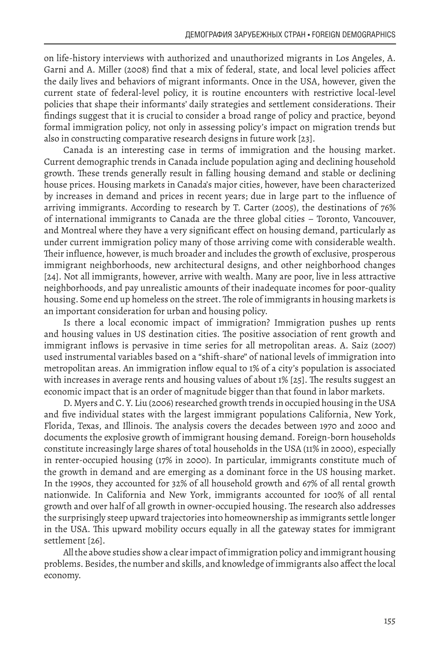on life-history interviews with authorized and unauthorized migrants in Los Angeles, A. Garni and A. Miller (2008) find that a mix of federal, state, and local level policies affect the daily lives and behaviors of migrant informants. Once in the USA, however, given the current state of federal-level policy, it is routine encounters with restrictive local-level policies that shape their informants' daily strategies and settlement considerations. Their findings suggest that it is crucial to consider a broad range of policy and practice, beyond formal immigration policy, not only in assessing policy's impact on migration trends but also in constructing comparative research designs in future work [23].

Canada is an interesting case in terms of immigration and the housing market. Current demographic trends in Canada include population aging and declining household growth. These trends generally result in falling housing demand and stable or declining house prices. Housing markets in Canada's major cities, however, have been characterized by increases in demand and prices in recent years; due in large part to the influence of arriving immigrants. According to research by T. Carter (2005), the destinations of 76% of international immigrants to Canada are the three global cities – Toronto, Vancouver, and Montreal where they have a very significant effect on housing demand, particularly as under current immigration policy many of those arriving come with considerable wealth. Their influence, however, is much broader and includes the growth of exclusive, prosperous immigrant neighborhoods, new architectural designs, and other neighborhood changes [24]. Not all immigrants, however, arrive with wealth. Many are poor, live in less attractive neighborhoods, and pay unrealistic amounts of their inadequate incomes for poor-quality housing. Some end up homeless on the street. The role of immigrants in housing markets is an important consideration for urban and housing policy.

Is there a local economic impact of immigration? Immigration pushes up rents and housing values in US destination cities. The positive association of rent growth and immigrant inflows is pervasive in time series for all metropolitan areas. A. Saiz (2007) used instrumental variables based on a "shift-share" of national levels of immigration into metropolitan areas. An immigration inflow equal to 1% of a city's population is associated with increases in average rents and housing values of about 1% [25]. The results suggest an economic impact that is an order of magnitude bigger than that found in labor markets.

D. Myers and C. Y. Liu (2006) researched growth trends in occupied housing in the USA and five individual states with the largest immigrant populations California, New York, Florida, Texas, and Illinois. The analysis covers the decades between 1970 and 2000 and documents the explosive growth of immigrant housing demand. Foreign-born households constitute increasingly large shares of total households in the USA (11% in 2000), especially in renter-occupied housing (17% in 2000). In particular, immigrants constitute much of the growth in demand and are emerging as a dominant force in the US housing market. In the 1990s, they accounted for 32% of all household growth and 67% of all rental growth nationwide. In California and New York, immigrants accounted for 100% of all rental growth and over half of all growth in owner-occupied housing. The research also addresses the surprisingly steep upward trajectories into homeownership as immigrants settle longer in the USA. This upward mobility occurs equally in all the gateway states for immigrant settlement [26].

All the above studies show a clear impact of immigration policy and immigrant housing problems. Besides, the number and skills, and knowledge of immigrants also affect the local economy.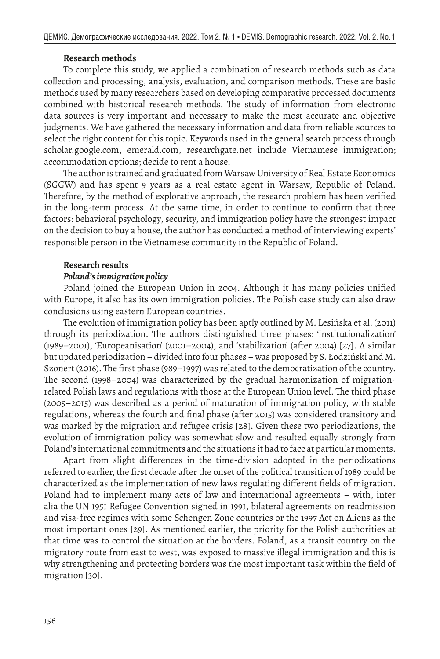#### **Research methods**

To complete this study, we applied a combination of research methods such as data collection and processing, analysis, evaluation, and comparison methods. These are basic methods used by many researchers based on developing comparative processed documents combined with historical research methods. The study of information from electronic data sources is very important and necessary to make the most accurate and objective judgments. We have gathered the necessary information and data from reliable sources to select the right content for this topic. Keywords used in the general search process through scholar.google.com, emerald.com, researchgate.net include Vietnamese immigration; accommodation options; decide to rent a house.

The author is trained and graduated from Warsaw University of Real Estate Economics (SGGW) and has spent 9 years as a real estate agent in Warsaw, Republic of Poland. Therefore, by the method of explorative approach, the research problem has been verified in the long-term process. At the same time, in order to continue to confirm that three factors: behavioral psychology, security, and immigration policy have the strongest impact on the decision to buy a house, the author has conducted a method of interviewing experts' responsible person in the Vietnamese community in the Republic of Poland.

#### **Research results**

#### *Poland's immigration policy*

Poland joined the European Union in 2004. Although it has many policies unified with Europe, it also has its own immigration policies. The Polish case study can also draw conclusions using eastern European countries.

The evolution of immigration policy has been aptly outlined by M. Lesińska et al. (2011) through its periodization. The authors distinguished three phases: 'institutionalization' (1989–2001), 'Europeanisation' (2001–2004), and 'stabilization' (after 2004) [27]. A similar but updated periodization – divided into four phases – was proposed by S. Łodziński and M. Szonert (2016). The first phase (989–1997) was related to the democratization of the country. The second (1998–2004) was characterized by the gradual harmonization of migrationrelated Polish laws and regulations with those at the European Union level. The third phase (2005–2015) was described as a period of maturation of immigration policy, with stable regulations, whereas the fourth and final phase (after 2015) was considered transitory and was marked by the migration and refugee crisis [28]. Given these two periodizations, the evolution of immigration policy was somewhat slow and resulted equally strongly from Poland's international commitments and the situations it had to face at particular moments.

Apart from slight differences in the time-division adopted in the periodizations referred to earlier, the first decade after the onset of the political transition of 1989 could be characterized as the implementation of new laws regulating different fields of migration. Poland had to implement many acts of law and international agreements – with, inter alia the UN 1951 Refugee Convention signed in 1991, bilateral agreements on readmission and visa-free regimes with some Schengen Zone countries or the 1997 Act on Aliens as the most important ones [29]. As mentioned earlier, the priority for the Polish authorities at that time was to control the situation at the borders. Poland, as a transit country on the migratory route from east to west, was exposed to massive illegal immigration and this is why strengthening and protecting borders was the most important task within the field of migration [30].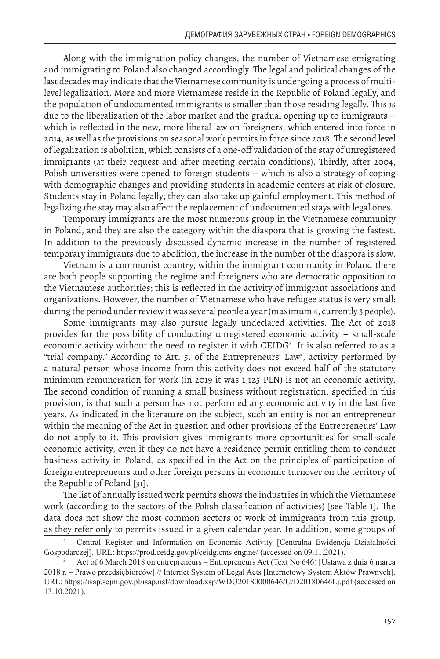Along with the immigration policy changes, the number of Vietnamese emigrating and immigrating to Poland also changed accordingly. The legal and political changes of the last decades may indicate that the Vietnamese community is undergoing a process of multilevel legalization. More and more Vietnamese reside in the Republic of Poland legally, and the population of undocumented immigrants is smaller than those residing legally. This is due to the liberalization of the labor market and the gradual opening up to immigrants – which is reflected in the new, more liberal law on foreigners, which entered into force in 2014, as well as the provisions on seasonal work permits in force since 2018. The second level of legalization is abolition, which consists of a one-off validation of the stay of unregistered immigrants (at their request and after meeting certain conditions). Thirdly, after 2004, Polish universities were opened to foreign students – which is also a strategy of coping with demographic changes and providing students in academic centers at risk of closure. Students stay in Poland legally; they can also take up gainful employment. This method of legalizing the stay may also affect the replacement of undocumented stays with legal ones.

Temporary immigrants are the most numerous group in the Vietnamese community in Poland, and they are also the category within the diaspora that is growing the fastest. In addition to the previously discussed dynamic increase in the number of registered temporary immigrants due to abolition, the increase in the number of the diaspora is slow.

Vietnam is a communist country, within the immigrant community in Poland there are both people supporting the regime and foreigners who are democratic opposition to the Vietnamese authorities; this is reflected in the activity of immigrant associations and organizations. However, the number of Vietnamese who have refugee status is very small: during the period under review it was several people a year (maximum 4, currently 3 people).

Some immigrants may also pursue legally undeclared activities. The Act of 2018 provides for the possibility of conducting unregistered economic activity – small-scale economic activity without the need to register it with CEIDG<sup>2</sup>. It is also referred to as a "trial company." According to Art. 5. of the Entrepreneurs' Law<sup>3</sup>, activity performed by a natural person whose income from this activity does not exceed half of the statutory minimum remuneration for work (in 2019 it was 1,125 PLN) is not an economic activity. The second condition of running a small business without registration, specified in this provision, is that such a person has not performed any economic activity in the last five years. As indicated in the literature on the subject, such an entity is not an entrepreneur within the meaning of the Act in question and other provisions of the Entrepreneurs' Law do not apply to it. This provision gives immigrants more opportunities for small-scale economic activity, even if they do not have a residence permit entitling them to conduct business activity in Poland, as specified in the Act on the principles of participation of foreign entrepreneurs and other foreign persons in economic turnover on the territory of the Republic of Poland [31].

The list of annually issued work permits shows the industries in which the Vietnamese work (according to the sectors of the Polish classification of activities) [see Table 1]. The data does not show the most common sectors of work of immigrants from this group, as they refer only to permits issued in a given calendar year. In addition, some groups of

<sup>2</sup> Central Register and Information on Economic Activity [Centralna Ewidencja Działalności Gospodarczej]. URL: https://prod.ceidg.gov.pl/ceidg.cms.engine/ (accessed on 09.11.2021).

<sup>3</sup> Act of 6 March 2018 on entrepreneurs – Entrepreneurs Act (Text No 646) [Ustawa z dnia 6 marca 2018 r. – Prawo przedsiębiorców] // Internet System of Legal Acts [Internetowy System Aktów Prawnych]. URL: https://isap.sejm.gov.pl/isap.nsf/download.xsp/WDU20180000646/U/D20180646Lj.pdf (accessed on 13.10.2021).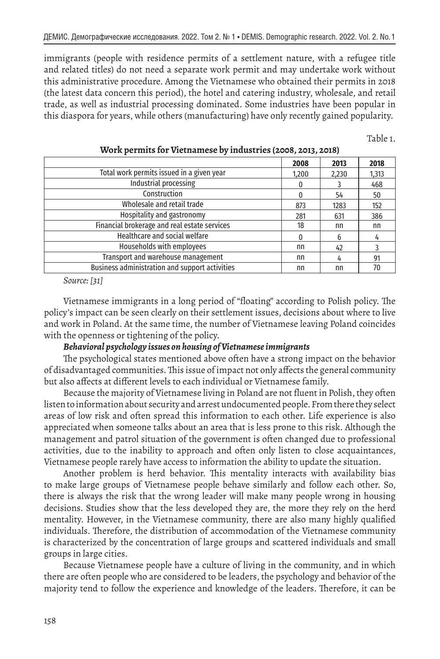immigrants (people with residence permits of a settlement nature, with a refugee title and related titles) do not need a separate work permit and may undertake work without this administrative procedure. Among the Vietnamese who obtained their permits in 2018 (the latest data concern this period), the hotel and catering industry, wholesale, and retail trade, as well as industrial processing dominated. Some industries have been popular in this diaspora for years, while others (manufacturing) have only recently gained popularity.

Table 1.

|                                                       | 2008  | 2013  | 2018  |
|-------------------------------------------------------|-------|-------|-------|
| Total work permits issued in a given year             | 1,200 | 2,230 | 1,313 |
| <b>Industrial processing</b>                          |       |       | 468   |
| Construction                                          | 0     | 54    | 50    |
| Wholesale and retail trade                            | 873   | 1283  | 152   |
| Hospitality and gastronomy                            | 281   | 631   | 386   |
| Financial brokerage and real estate services          | 18    | nn    | nn    |
| Healthcare and social welfare                         | 0     | 6     |       |
| Households with employees                             | nn    | 42    |       |
| Transport and warehouse management                    | nn    | 4     | 91    |
| <b>Business administration and support activities</b> | nn    | nn    | 70    |

**Work permits for Vietnamese by industries (2008, 2013, 2018)**

*Source: [31]*

Vietnamese immigrants in a long period of "floating" according to Polish policy. The policy's impact can be seen clearly on their settlement issues, decisions about where to live and work in Poland. At the same time, the number of Vietnamese leaving Poland coincides with the openness or tightening of the policy.

#### *Behavioral psychology issues on housing of Vietnamese immigrants*

The psychological states mentioned above often have a strong impact on the behavior of disadvantaged communities. This issue of impact not only affects the general community but also affects at different levels to each individual or Vietnamese family.

Because the majority of Vietnamese living in Poland are not fluent in Polish, they often listen to information about security and arrest undocumented people. From there they select areas of low risk and often spread this information to each other. Life experience is also appreciated when someone talks about an area that is less prone to this risk. Although the management and patrol situation of the government is often changed due to professional activities, due to the inability to approach and often only listen to close acquaintances, Vietnamese people rarely have access to information the ability to update the situation.

Another problem is herd behavior. This mentality interacts with availability bias to make large groups of Vietnamese people behave similarly and follow each other. So, there is always the risk that the wrong leader will make many people wrong in housing decisions. Studies show that the less developed they are, the more they rely on the herd mentality. However, in the Vietnamese community, there are also many highly qualified individuals. Therefore, the distribution of accommodation of the Vietnamese community is characterized by the concentration of large groups and scattered individuals and small groups in large cities.

Because Vietnamese people have a culture of living in the community, and in which there are often people who are considered to be leaders, the psychology and behavior of the majority tend to follow the experience and knowledge of the leaders. Therefore, it can be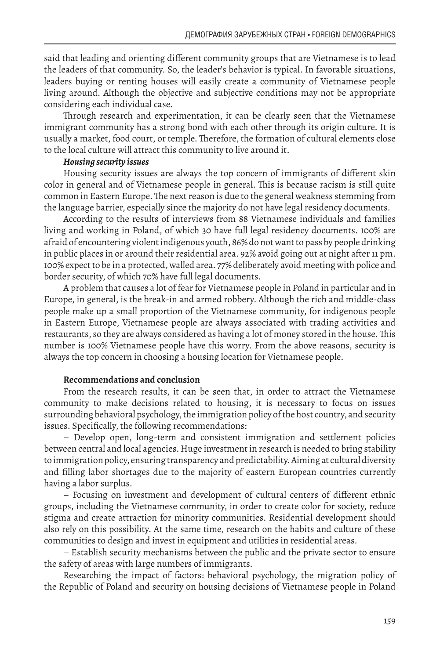said that leading and orienting different community groups that are Vietnamese is to lead the leaders of that community. So, the leader's behavior is typical. In favorable situations, leaders buying or renting houses will easily create a community of Vietnamese people living around. Although the objective and subjective conditions may not be appropriate considering each individual case.

Through research and experimentation, it can be clearly seen that the Vietnamese immigrant community has a strong bond with each other through its origin culture. It is usually a market, food court, or temple. Therefore, the formation of cultural elements close to the local culture will attract this community to live around it.

#### *Housing security issues*

Housing security issues are always the top concern of immigrants of different skin color in general and of Vietnamese people in general. This is because racism is still quite common in Eastern Europe. The next reason is due to the general weakness stemming from the language barrier, especially since the majority do not have legal residency documents.

According to the results of interviews from 88 Vietnamese individuals and families living and working in Poland, of which 30 have full legal residency documents. 100% are afraid of encountering violent indigenous youth, 86% do not want to pass by people drinking in public places in or around their residential area. 92% avoid going out at night after 11 pm. 100% expect to be in a protected, walled area. 77% deliberately avoid meeting with police and border security, of which 70% have full legal documents.

A problem that causes a lot of fear for Vietnamese people in Poland in particular and in Europe, in general, is the break-in and armed robbery. Although the rich and middle-class people make up a small proportion of the Vietnamese community, for indigenous people in Eastern Europe, Vietnamese people are always associated with trading activities and restaurants, so they are always considered as having a lot of money stored in the house. This number is 100% Vietnamese people have this worry. From the above reasons, security is always the top concern in choosing a housing location for Vietnamese people.

#### **Recommendations and conclusion**

From the research results, it can be seen that, in order to attract the Vietnamese community to make decisions related to housing, it is necessary to focus on issues surrounding behavioral psychology, the immigration policy of the host country, and security issues. Specifically, the following recommendations:

– Develop open, long-term and consistent immigration and settlement policies between central and local agencies. Huge investment in research is needed to bring stability to immigration policy, ensuring transparency and predictability. Aiming at cultural diversity and filling labor shortages due to the majority of eastern European countries currently having a labor surplus.

– Focusing on investment and development of cultural centers of different ethnic groups, including the Vietnamese community, in order to create color for society, reduce stigma and create attraction for minority communities. Residential development should also rely on this possibility. At the same time, research on the habits and culture of these communities to design and invest in equipment and utilities in residential areas.

– Establish security mechanisms between the public and the private sector to ensure the safety of areas with large numbers of immigrants.

Researching the impact of factors: behavioral psychology, the migration policy of the Republic of Poland and security on housing decisions of Vietnamese people in Poland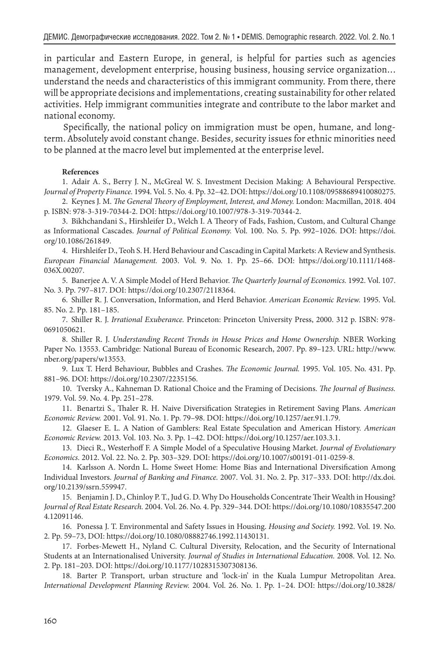in particular and Eastern Europe, in general, is helpful for parties such as agencies management, development enterprise, housing business, housing service organization... understand the needs and characteristics of this immigrant community. From there, there will be appropriate decisions and implementations, creating sustainability for other related activities. Help immigrant communities integrate and contribute to the labor market and national economy.

Specifically, the national policy on immigration must be open, humane, and longterm. Absolutely avoid constant change. Besides, security issues for ethnic minorities need to be planned at the macro level but implemented at the enterprise level.

#### **References**

1. Adair A. S., Berry J. N., McGreal W. S. Investment Decision Making: A Behavioural Perspective. *Journal of Property Finance.* 1994. Vol. 5. No. 4. Pp. 32–42. DOI: https://doi.org/10.1108/09588689410080275.

2. Keynes J. M. *The General Theory of Employment, Interest, and Money.* London: Macmillan, 2018. 404 p. ISBN: 978-3-319-70344-2. DOI: https://doi.org/10.1007/978-3-319-70344-2.

3. Bikhchandani S., Hirshleifer D., Welch I. A Theory of Fads, Fashion, Custom, and Cultural Change as Informational Cascades. *Journal of Political Economy.* Vol. 100. No. 5. Pp. 992–1026. DOI: https://doi. org/10.1086/261849.

4. Hirshleifer D., Teoh S. H. Herd Behaviour and Cascading in Capital Markets: A Review and Synthesis. *European Financial Management.* 2003. Vol. 9. No. 1. Pp. 25–66. DOI: https://doi.org/10.1111/1468- 036X.00207.

5. Banerjee A. V. A Simple Model of Herd Behavior. *The Quarterly Journal of Economics.* 1992. Vol. 107. No. 3. Pp. 797–817. DOI: https://doi.org/10.2307/2118364.

6. Shiller R. J. Conversation, Information, and Herd Behavior. *American Economic Review.* 1995. Vol. 85. No. 2. Pp. 181–185.

7. Shiller R. J. *Irrational Exuberance.* Princeton: Princeton University Press, 2000. 312 p. ISBN: 978- 0691050621.

8. Shiller R. J. *Understanding Recent Trends in House Prices and Home Ownership.* NBER Working Paper No. 13553. Cambridge: National Bureau of Economic Research, 2007. Pp. 89–123. URL: http://www. nber.org/papers/w13553.

9. Lux T. Herd Behaviour, Bubbles and Crashes. *The Economic Journal.* 1995. Vol. 105. No. 431. Pp. 881–96. DOI: https://doi.org/10.2307/2235156.

10. Tversky A., Kahneman D. Rational Choice and the Framing of Decisions. *The Journal of Business.* 1979. Vol. 59. No. 4. Pp. 251–278.

11. Benartzi S., Thaler R. H. Naive Diversification Strategies in Retirement Saving Plans. *American Economic Review.* 2001. Vol. 91. No. 1. Pp. 79–98. DOI: https://doi.org/10.1257/aer.91.1.79.

12. Glaeser E. L. A Nation of Gamblers: Real Estate Speculation and American History. *American Economic Review.* 2013. Vol. 103. No. 3. Pp. 1–42. DOI: https://doi.org/10.1257/aer.103.3.1.

13. Dieci R., Westerhoff F. A Simple Model of a Speculative Housing Market. *Journal of Evolutionary Economics.* 2012. Vol. 22. No. 2. Pp. 303–329. DOI: https://doi.org/10.1007/s00191-011-0259-8.

14. Karlsson A. Nordn L. Home Sweet Home: Home Bias and International Diversification Among Individual Investors. *Journal of Banking and Finance.* 2007. Vol. 31. No. 2. Pp. 317–333. DOI: http://dx.doi. org/10.2139/ssrn.559947.

15. Benjamin J. D., Chinloy P. T., Jud G. D. Why Do Households Concentrate Their Wealth in Housing? *Journal of Real Estate Research.* 2004. Vol. 26. No. 4. Pp. 329–344. DOI: https://doi.org/10.1080/10835547.200 4.12091146.

16. Ponessa J. T. Environmental and Safety Issues in Housing. *Housing and Society.* 1992. Vol. 19. No. 2. Pp. 59–73, DOI: https://doi.org/10.1080/08882746.1992.11430131.

17. Forbes-Mewett H., Nyland C. Cultural Diversity, Relocation, and the Security of International Students at an Internationalised University. *Journal of Studies in International Education.* 2008. Vol. 12. No. 2. Pp. 181–203. DOI: https://doi.org/10.1177/1028315307308136.

18. Barter P. Transport, urban structure and 'lock-in' in the Kuala Lumpur Metropolitan Area. *International Development Planning Review.* 2004. Vol. 26. No. 1. Pp. 1–24. DOI: https://doi.org/10.3828/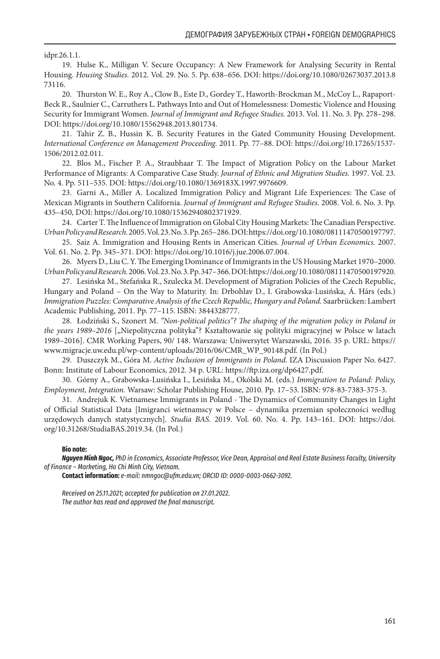idpr.26.1.1.

19. Hulse K., Milligan V. Secure Occupancy: A New Framework for Analysing Security in Rental Housing. *Housing Studies.* 2012. Vol. 29. No. 5. Pp. 638–656. DOI: https://doi.org/10.1080/02673037.2013.8 73116.

20. Thurston W. E., Roy A., Clow B., Este D., Gordey T., Haworth-Brockman M., McCoy L., Rapaport-Beck R., Saulnier C., Carruthers L. Pathways Into and Out of Homelessness: Domestic Violence and Housing Security for Immigrant Women. *Journal of Immigrant and Refugee Studies.* 2013. Vol. 11. No. 3. Pp. 278–298. DOI: https://doi.org/10.1080/15562948.2013.801734.

21. Tahir Z. B., Hussin K. B. Security Features in the Gated Community Housing Development. *International Conference on Management Proceeding.* 2011. Pp. 77–88. DOI: https://doi.org/10.17265/1537- 1506/2012.02.011.

22. Blos M., Fischer P. A., Straubhaar T. The Impact of Migration Policy on the Labour Market Performance of Migrants: A Comparative Case Study. *Journal of Ethnic and Migration Studies.* 1997. Vol. 23. No. 4. Pp. 511–535. DOI: https://doi.org/10.1080/1369183X.1997.9976609.

23. Garni A., Miller A. Localized Immigration Policy and Migrant Life Experiences: The Case of Mexican Migrants in Southern California. *Journal of Immigrant and Refugee Studies.* 2008. Vol. 6. No. 3. Pp. 435–450, DOI: https://doi.org/10.1080/15362940802371929.

24. Carter T. The Influence of Immigration on Global City Housing Markets: The Canadian Perspective. *Urban Policy and Research.* 2005. Vol. 23. No. 3. Pp. 265–286. DOI: https://doi.org/10.1080/08111470500197797.

25. Saiz A. Immigration and Housing Rents in American Cities. *Journal of Urban Economics.* 2007. Vol. 61. No. 2. Pp. 345–371. DOI: https://doi.org/10.1016/j.jue.2006.07.004.

26. Myers D., Liu C. Y. The Emerging Dominance of Immigrants in the US Housing Market 1970–2000. *Urban Policy and Research.* 2006. Vol. 23. No. 3. Pp. 347–366. DOI: https://doi.org/10.1080/08111470500197920.

27. Lesińska M., Stefańska R., Szulecka M. Development of Migration Policies of the Czech Republic, Hungary and Poland – On the Way to Maturity. In: Drbohlav D., I. Grabowska-Lusińska, Á. Hárs (eds.) *Immigration Puzzles: Comparative Analysis of the Czech Republic, Hungary and Poland.* Saarbrücken: Lambert Academic Publishing, 2011. Pp. 77–115. ISBN: 3844328777.

28. Łodziński S., Szonert M. *"Non-political politics"? The shaping of the migration policy in Poland in*  the years 1989-2016 ["Niepolityczna polityka"? Kształtowanie się polityki migracyjnej w Polsce w latach 1989–2016]. CMR Working Papers, 90/ 148. Warszawa: Uniwersytet Warszawski, 2016. 35 p. URL: https:// www.migracje.uw.edu.pl/wp-content/uploads/2016/06/CMR\_WP\_90148.pdf. (In Pol.)

29. Duszczyk M., Góra M. *Active Inclusion of Immigrants in Poland.* IZA Discussion Paper No. 6427. Bonn: Institute of Labour Economics, 2012. 34 p. URL: https://ftp.iza.org/dp6427.pdf.

30. Górny A., Grabowska-Lusińska I., Lesińska M., Okólski M. (eds.) *Immigration to Poland: Policy, Employment, Integration.* Warsaw: Scholar Publishing House, 2010. Pp. 17–53. ISBN: 978-83-7383-375-3.

31. Andrejuk K. Vietnamese Immigrants in Poland - The Dynamics of Community Changes in Light of Official Statistical Data [Imigranci wietnamscy w Polsce – dynamika przemian społeczności według urzędowych danych statystycznych]. *Studia BAS.* 2019. Vol. 60. No. 4. Pp. 143–161. DOI: https://doi. org/10.31268/StudiaBAS.2019.34. (In Pol.)

#### **Bio note:**

*Nguyen Minh Ngoc, PhD in Economics, Associate Professor, Vice Dean, Appraisal and Real Estate Business Faculty, University of Finance – Marketing, Ho Chi Minh City, Vietnam.*

**Contact information:** *e-mail: nmngoc@ufm.edu.vn; ORCID ID: 0000-0003-0662-3092.*

*Received on 25.11.2021; accepted for publication on 27.01.2022. The author has read and approved the final manuscript.*